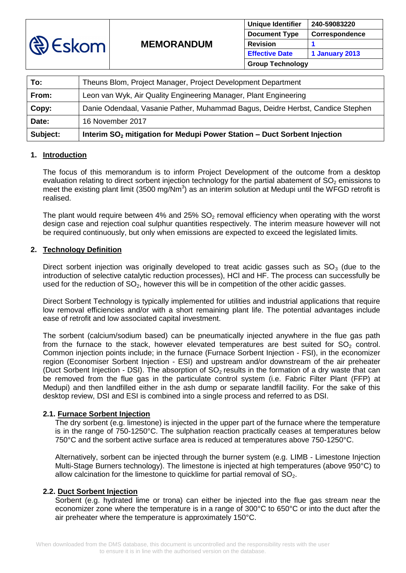

| To:      | Theuns Blom, Project Manager, Project Development Department                         |
|----------|--------------------------------------------------------------------------------------|
| From:    | Leon van Wyk, Air Quality Engineering Manager, Plant Engineering                     |
| Copy:    | Danie Odendaal, Vasanie Pather, Muhammad Bagus, Deidre Herbst, Candice Stephen       |
| Date:    | 16 November 2017                                                                     |
| Subject: | Interim SO <sub>2</sub> mitigation for Medupi Power Station - Duct Sorbent Injection |

#### **1. Introduction**

The focus of this memorandum is to inform Project Development of the outcome from a desktop evaluation relating to direct sorbent injection technology for the partial abatement of  $SO<sub>2</sub>$  emissions to meet the existing plant limit (3500 mg/Nm<sup>3</sup>) as an interim solution at Medupi until the WFGD retrofit is realised.

The plant would require between 4% and 25%  $SO<sub>2</sub>$  removal efficiency when operating with the worst design case and rejection coal sulphur quantities respectively. The interim measure however will not be required continuously, but only when emissions are expected to exceed the legislated limits.

# **2. Technology Definition**

Direct sorbent injection was originally developed to treat acidic gasses such as  $SO<sub>3</sub>$  (due to the introduction of selective catalytic reduction processes), HCl and HF. The process can successfully be used for the reduction of  $SO<sub>2</sub>$ , however this will be in competition of the other acidic gasses.

Direct Sorbent Technology is typically implemented for utilities and industrial applications that require low removal efficiencies and/or with a short remaining plant life. The potential advantages include ease of retrofit and low associated capital investment.

The sorbent (calcium/sodium based) can be pneumatically injected anywhere in the flue gas path from the furnace to the stack, however elevated temperatures are best suited for  $SO<sub>2</sub>$  control. Common injection points include; in the furnace (Furnace Sorbent Injection - FSI), in the economizer region (Economiser Sorbent Injection - ESI) and upstream and/or downstream of the air preheater (Duct Sorbent Injection - DSI). The absorption of  $SO<sub>2</sub>$  results in the formation of a dry waste that can be removed from the flue gas in the particulate control system (i.e. Fabric Filter Plant (FFP) at Medupi) and then landfilled either in the ash dump or separate landfill facility. For the sake of this desktop review, DSI and ESI is combined into a single process and referred to as DSI.

## **2.1. Furnace Sorbent Injection**

The dry sorbent (e.g. limestone) is injected in the upper part of the furnace where the temperature is in the range of 750-1250°C. The sulphation reaction practically ceases at temperatures below 750°C and the sorbent active surface area is reduced at temperatures above 750-1250°C.

Alternatively, sorbent can be injected through the burner system (e.g. LIMB - Limestone Injection Multi-Stage Burners technology). The limestone is injected at high temperatures (above 950°C) to allow calcination for the limestone to quicklime for partial removal of  $SO<sub>2</sub>$ .

## **2.2. Duct Sorbent Injection**

Sorbent (e.g. hydrated lime or trona) can either be injected into the flue gas stream near the economizer zone where the temperature is in a range of 300°C to 650°C or into the duct after the air preheater where the temperature is approximately 150°C.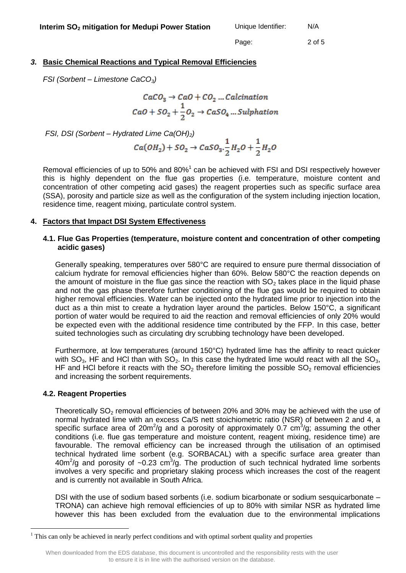Page: 2 of 5

# *3.* **Basic Chemical Reactions and Typical Removal Efficiencies**

*FSI (Sorbent – Limestone CaCO3)*

 $CaCO<sub>3</sub> \rightarrow CaO + CO<sub>2</sub> ... Calculation$  $CaO + SO_2 + \frac{1}{2}O_2 \rightarrow CaSO_4 \dots$  Sulphation

*FSI, DSI (Sorbent – Hydrated Lime Ca(OH)2)*

$$
Ca(OH_2) + SO_2 \rightarrow CaSO_3.\frac{1}{2}H_2O + \frac{1}{2}H_2O
$$

Removal efficiencies of up to 50% and 80% $^1$  can be achieved with FSI and DSI respectively however this is highly dependent on the flue gas properties (i.e. temperature, moisture content and concentration of other competing acid gases) the reagent properties such as specific surface area (SSA), porosity and particle size as well as the configuration of the system including injection location, residence time, reagent mixing, particulate control system.

#### **4. Factors that Impact DSI System Effectiveness**

#### **4.1. Flue Gas Properties (temperature, moisture content and concentration of other competing acidic gases)**

Generally speaking, temperatures over 580°C are required to ensure pure thermal dissociation of calcium hydrate for removal efficiencies higher than 60%. Below 580°C the reaction depends on the amount of moisture in the flue gas since the reaction with  $SO<sub>2</sub>$  takes place in the liquid phase and not the gas phase therefore further conditioning of the flue gas would be required to obtain higher removal efficiencies. Water can be injected onto the hydrated lime prior to injection into the duct as a thin mist to create a hydration layer around the particles. Below 150°C, a significant portion of water would be required to aid the reaction and removal efficiencies of only 20% would be expected even with the additional residence time contributed by the FFP. In this case, better suited technologies such as circulating dry scrubbing technology have been developed.

Furthermore, at low temperatures (around 150°C) hydrated lime has the affinity to react quicker with  $SO_3$ , HF and HCl than with  $SO_2$ . In this case the hydrated lime would react with all the  $SO_3$ , HF and HCI before it reacts with the  $SO<sub>2</sub>$  therefore limiting the possible  $SO<sub>2</sub>$  removal efficiencies and increasing the sorbent requirements.

#### **4.2. Reagent Properties**

1

Theoretically  $SO<sub>2</sub>$  removal efficiencies of between 20% and 30% may be achieved with the use of normal hydrated lime with an excess Ca/S nett stoichiometric ratio (NSR) of between 2 and 4, a specific surface area of 20m<sup>2</sup>/g and a porosity of approximately 0.7 cm<sup>3</sup>/g; assuming the other conditions (i.e. flue gas temperature and moisture content, reagent mixing, residence time) are favourable. The removal efficiency can be increased through the utilisation of an optimised technical hydrated lime sorbent (e.g. SORBACAL) with a specific surface area greater than 40m<sup>2</sup>/g and porosity of  $\sim$ 0.23 cm<sup>3</sup>/g. The production of such technical hydrated lime sorbents involves a very specific and proprietary slaking process which increases the cost of the reagent and is currently not available in South Africa.

DSI with the use of sodium based sorbents (i.e. sodium bicarbonate or sodium sesquicarbonate – TRONA) can achieve high removal efficiencies of up to 80% with similar NSR as hydrated lime however this has been excluded from the evaluation due to the environmental implications

<sup>&</sup>lt;sup>1</sup> This can only be achieved in nearly perfect conditions and with optimal sorbent quality and properties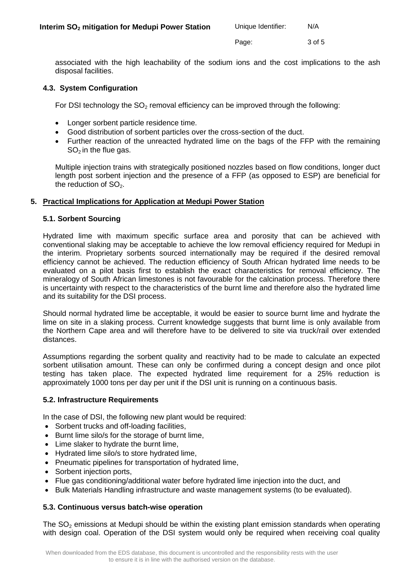Page: 3 of 5

associated with the high leachability of the sodium ions and the cost implications to the ash disposal facilities.

## **4.3. System Configuration**

For DSI technology the  $SO<sub>2</sub>$  removal efficiency can be improved through the following:

- Longer sorbent particle residence time.
- Good distribution of sorbent particles over the cross-section of the duct.
- Further reaction of the unreacted hydrated lime on the bags of the FFP with the remaining  $SO<sub>2</sub>$  in the flue gas.

Multiple injection trains with strategically positioned nozzles based on flow conditions, longer duct length post sorbent injection and the presence of a FFP (as opposed to ESP) are beneficial for the reduction of  $SO<sub>2</sub>$ .

# **5. Practical Implications for Application at Medupi Power Station**

# **5.1. Sorbent Sourcing**

Hydrated lime with maximum specific surface area and porosity that can be achieved with conventional slaking may be acceptable to achieve the low removal efficiency required for Medupi in the interim. Proprietary sorbents sourced internationally may be required if the desired removal efficiency cannot be achieved. The reduction efficiency of South African hydrated lime needs to be evaluated on a pilot basis first to establish the exact characteristics for removal efficiency. The mineralogy of South African limestones is not favourable for the calcination process. Therefore there is uncertainty with respect to the characteristics of the burnt lime and therefore also the hydrated lime and its suitability for the DSI process.

Should normal hydrated lime be acceptable, it would be easier to source burnt lime and hydrate the lime on site in a slaking process. Current knowledge suggests that burnt lime is only available from the Northern Cape area and will therefore have to be delivered to site via truck/rail over extended distances.

Assumptions regarding the sorbent quality and reactivity had to be made to calculate an expected sorbent utilisation amount. These can only be confirmed during a concept design and once pilot testing has taken place. The expected hydrated lime requirement for a 25% reduction is approximately 1000 tons per day per unit if the DSI unit is running on a continuous basis.

## **5.2. Infrastructure Requirements**

In the case of DSI, the following new plant would be required:

- Sorbent trucks and off-loading facilities,
- Burnt lime silo/s for the storage of burnt lime,
- Lime slaker to hydrate the burnt lime,
- Hydrated lime silo/s to store hydrated lime,
- Pneumatic pipelines for transportation of hydrated lime,
- Sorbent injection ports,
- Flue gas conditioning/additional water before hydrated lime injection into the duct, and
- Bulk Materials Handling infrastructure and waste management systems (to be evaluated).

## **5.3. Continuous versus batch-wise operation**

The  $SO<sub>2</sub>$  emissions at Medupi should be within the existing plant emission standards when operating with design coal. Operation of the DSI system would only be required when receiving coal quality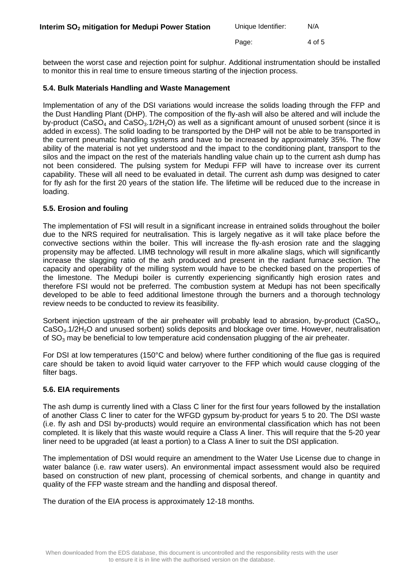| Unique Identifier: | N/A |
|--------------------|-----|
|                    |     |

Page: 4 of 5

between the worst case and rejection point for sulphur. Additional instrumentation should be installed to monitor this in real time to ensure timeous starting of the injection process.

## **5.4. Bulk Materials Handling and Waste Management**

Implementation of any of the DSI variations would increase the solids loading through the FFP and the Dust Handling Plant (DHP). The composition of the fly-ash will also be altered and will include the by-product (CaSO<sub>4</sub> and CaSO<sub>3</sub>.1/2H<sub>2</sub>O) as well as a significant amount of unused sorbent (since it is added in excess). The solid loading to be transported by the DHP will not be able to be transported in the current pneumatic handling systems and have to be increased by approximately 35%. The flow ability of the material is not yet understood and the impact to the conditioning plant, transport to the silos and the impact on the rest of the materials handling value chain up to the current ash dump has not been considered. The pulsing system for Medupi FFP will have to increase over its current capability. These will all need to be evaluated in detail. The current ash dump was designed to cater for fly ash for the first 20 years of the station life. The lifetime will be reduced due to the increase in loading.

## **5.5. Erosion and fouling**

The implementation of FSI will result in a significant increase in entrained solids throughout the boiler due to the NRS required for neutralisation. This is largely negative as it will take place before the convective sections within the boiler. This will increase the fly-ash erosion rate and the slagging propensity may be affected. LIMB technology will result in more alkaline slags, which will significantly increase the slagging ratio of the ash produced and present in the radiant furnace section. The capacity and operability of the milling system would have to be checked based on the properties of the limestone. The Medupi boiler is currently experiencing significantly high erosion rates and therefore FSI would not be preferred. The combustion system at Medupi has not been specifically developed to be able to feed additional limestone through the burners and a thorough technology review needs to be conducted to review its feasibility.

Sorbent injection upstream of the air preheater will probably lead to abrasion, by-product (CaSO<sub>4</sub>, CaSO<sub>3</sub>.1/2H<sub>2</sub>O and unused sorbent) solids deposits and blockage over time. However, neutralisation of  $SO<sub>3</sub>$  may be beneficial to low temperature acid condensation plugging of the air preheater.

For DSI at low temperatures (150°C and below) where further conditioning of the flue gas is required care should be taken to avoid liquid water carryover to the FFP which would cause clogging of the filter bags.

## **5.6. EIA requirements**

The ash dump is currently lined with a Class C liner for the first four years followed by the installation of another Class C liner to cater for the WFGD gypsum by-product for years 5 to 20. The DSI waste (i.e. fly ash and DSI by-products) would require an environmental classification which has not been completed. It is likely that this waste would require a Class A liner. This will require that the 5-20 year liner need to be upgraded (at least a portion) to a Class A liner to suit the DSI application.

The implementation of DSI would require an amendment to the Water Use License due to change in water balance (i.e. raw water users). An environmental impact assessment would also be required based on construction of new plant, processing of chemical sorbents, and change in quantity and quality of the FFP waste stream and the handling and disposal thereof.

The duration of the EIA process is approximately 12-18 months.